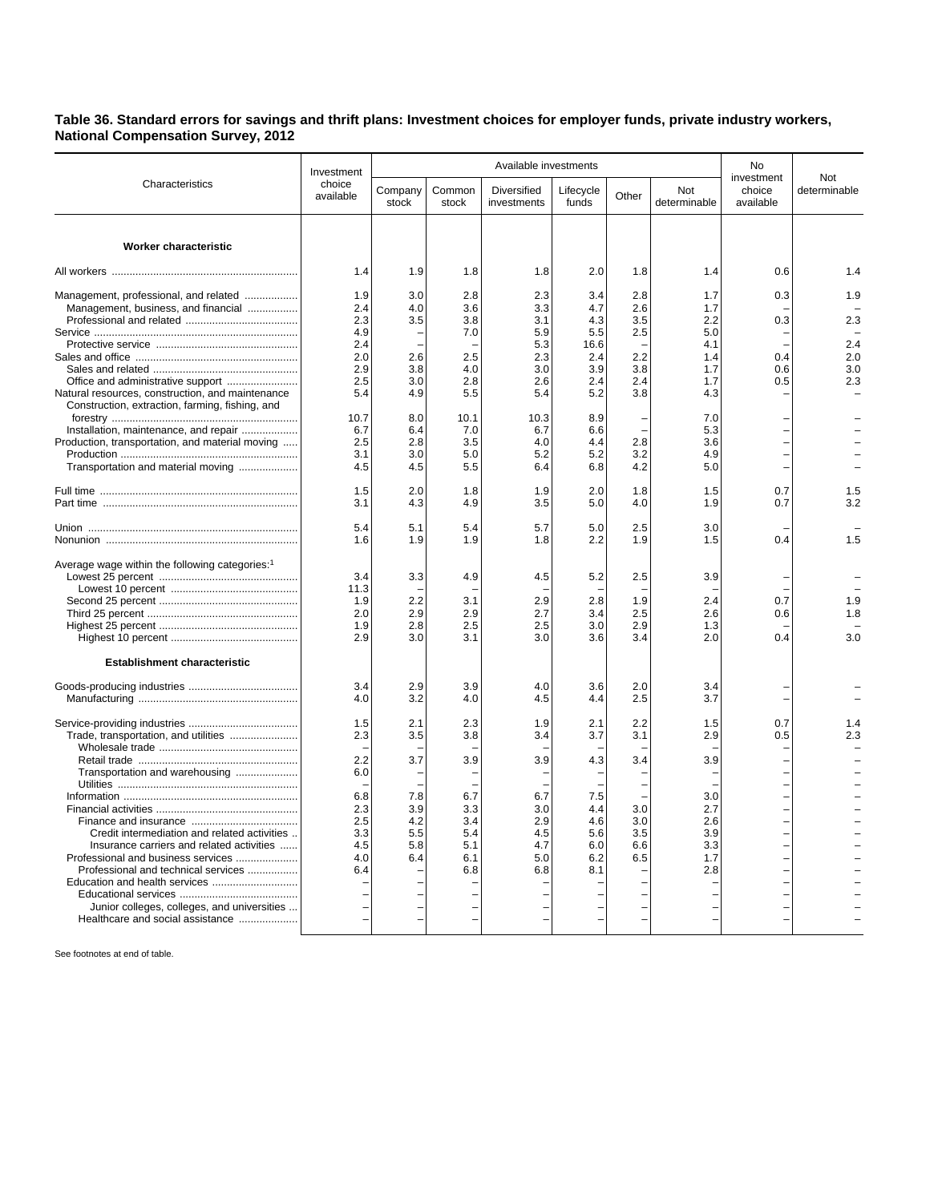**Table 36. Standard errors for savings and thrift plans: Investment choices for employer funds, private industry workers, National Compensation Survey, 2012**

|                                                                                                     | Investment<br>choice<br>available |                  |                 | No                                |                    |       |                     |                                   |                     |
|-----------------------------------------------------------------------------------------------------|-----------------------------------|------------------|-----------------|-----------------------------------|--------------------|-------|---------------------|-----------------------------------|---------------------|
| Characteristics                                                                                     |                                   | Company<br>stock | Common<br>stock | <b>Diversified</b><br>investments | Lifecycle<br>funds | Other | Not<br>determinable | investment<br>choice<br>available | Not<br>determinable |
|                                                                                                     |                                   |                  |                 |                                   |                    |       |                     |                                   |                     |
| <b>Worker characteristic</b>                                                                        |                                   |                  |                 |                                   |                    |       |                     |                                   |                     |
|                                                                                                     | 1.4                               | 1.9              | 1.8             | 1.8                               | 2.0                | 1.8   | 1.4                 | 0.6                               | 1.4                 |
| Management, professional, and related                                                               | 1.9                               | 3.0              | 2.8             | 2.3                               | 3.4                | 2.8   | 1.7                 | 0.3                               | 1.9                 |
| Management, business, and financial                                                                 | 2.4                               | 4.0              | 3.6             | 3.3                               | 4.7                | 2.6   | 1.7                 |                                   |                     |
|                                                                                                     | 2.3                               | 3.5              | 3.8             | 3.1                               | 4.3                | 3.5   | 2.2                 | 0.3                               | 2.3                 |
|                                                                                                     | 4.9                               |                  | 7.0             | 5.9                               | 5.5                | 2.5   | 5.0                 |                                   |                     |
|                                                                                                     | 2.4                               |                  |                 | 5.3                               | 16.6               |       | 4.1                 |                                   | 2.4                 |
|                                                                                                     | 2.0                               | 2.6              | 2.5             | 2.3                               | 2.4                | 2.2   | 1.4                 | 0.4                               | 2.0                 |
|                                                                                                     | 2.9                               | 3.8              | 4.0             | 3.0                               | 3.9                | 3.8   | 1.7                 | 0.6                               | 3.0                 |
| Office and administrative support                                                                   | 2.5                               | 3.0              | 2.8             | 2.6                               | 2.4                | 2.4   | 1.7                 | 0.5                               | 2.3                 |
| Natural resources, construction, and maintenance<br>Construction, extraction, farming, fishing, and | 5.4                               | 4.9              | 5.5             | 5.4                               | 5.2                | 3.8   | 4.3                 |                                   |                     |
|                                                                                                     | 10.7                              | 8.0              | 10.1            | 10.3                              | 8.9                |       | 7.0                 |                                   |                     |
| Installation, maintenance, and repair                                                               | 6.7                               | 6.4              | 7.0             | 6.7                               | 6.6                |       | 5.3                 |                                   |                     |
| Production, transportation, and material moving                                                     | 2.5                               | 2.8              | 3.5             | 4.0                               | 4.4                | 2.8   | 3.6                 |                                   |                     |
|                                                                                                     | 3.1                               | 3.0              | 5.0             | 5.2                               | 5.2                | 3.2   | 4.9                 |                                   |                     |
| Transportation and material moving                                                                  | 4.5                               | 4.5              | 5.5             | 6.4                               | 6.8                | 4.2   | 5.0                 |                                   |                     |
|                                                                                                     | 1.5                               | 2.0              | 1.8             | 1.9                               | 2.0                | 1.8   | 1.5                 | 0.7                               | 1.5                 |
|                                                                                                     | 3.1                               | 4.3              | 4.9             | 3.5                               | 5.0                | 4.0   | 1.9                 | 0.7                               | 3.2                 |
|                                                                                                     | 5.4                               | 5.1              | 5.4             | 5.7                               | 5.0                | 2.5   | 3.0                 |                                   |                     |
|                                                                                                     | 1.6                               | 1.9              | 1.9             | 1.8                               | 2.2                | 1.9   | 1.5                 | 0.4                               | 1.5                 |
| Average wage within the following categories: <sup>1</sup>                                          |                                   |                  |                 |                                   |                    |       |                     |                                   |                     |
|                                                                                                     | 3.4                               | 3.3              | 4.9             | 4.5                               | 5.2                | 2.5   | 3.9                 |                                   |                     |
|                                                                                                     | 11.3                              |                  |                 |                                   |                    |       |                     |                                   |                     |
|                                                                                                     | 1.9                               | 2.2              | 3.1             | 2.9                               | 2.8                | 1.9   | 2.4                 | 0.7                               | 1.9                 |
|                                                                                                     | 2.0                               | 2.9              | 2.9             | 2.7                               | 3.4                | 2.5   | 2.6                 | 0.6                               | 1.8                 |
|                                                                                                     | 1.9                               | 2.8              | 2.5             | 2.5                               | 3.0                | 2.9   | 1.3                 |                                   |                     |
|                                                                                                     | 2.9                               | 3.0              | 3.1             | 3.0                               | 3.6                | 3.4   | 2.0                 | 0.4                               | 3.0                 |
| <b>Establishment characteristic</b>                                                                 |                                   |                  |                 |                                   |                    |       |                     |                                   |                     |
|                                                                                                     | 3.4                               | 2.9              | 3.9             | 4.0                               | 3.6                | 2.0   | 3.4                 |                                   |                     |
|                                                                                                     | 4.0                               | 3.2              | 4.0             | 4.5                               | 4.4                | 2.5   | 3.7                 |                                   |                     |
|                                                                                                     | 1.5                               | 2.1              | 2.3             | 1.9                               | 2.1                | 2.2   | 1.5                 | 0.7                               | 1.4                 |
| Trade, transportation, and utilities                                                                | 2.3                               | 3.5              | 3.8             | 3.4                               | 3.7                | 3.1   | 2.9                 | 0.5                               | 2.3                 |
|                                                                                                     |                                   |                  |                 |                                   |                    |       |                     |                                   |                     |
|                                                                                                     | 2.2                               | 3.7              | 3.9             | 3.9                               | 4.3                | 3.4   | 3.9                 |                                   |                     |
| Transportation and warehousing                                                                      | 6.0                               |                  |                 |                                   |                    |       |                     |                                   |                     |
|                                                                                                     |                                   |                  |                 |                                   |                    |       |                     |                                   |                     |
|                                                                                                     | 6.8                               | 7.8              | 6.7             | 6.7                               | 7.5                |       | 3.0                 |                                   |                     |
|                                                                                                     | 2.3                               | 3.9              | 3.3             | 3.0                               | 4.4                | 3.0   | 2.7                 |                                   |                     |
|                                                                                                     | 2.5                               | 4.2              | 3.4             | 2.9                               | 4.6                | 3.0   | 2.6                 |                                   |                     |
| Credit intermediation and related activities                                                        | 3.3                               | 5.5              | 5.4             | 4.5                               | 5.6                | 3.5   | 3.9                 |                                   |                     |
| Insurance carriers and related activities                                                           | 4.5                               | 5.8              | 5.1             | 4.7                               | 6.0                | 6.6   | 3.3                 |                                   |                     |
| Professional and business services                                                                  | 4.0                               | 6.4              | 6.1             | 5.0                               | 6.2                | 6.5   | 1.7                 |                                   |                     |
| Professional and technical services                                                                 | 6.4                               |                  | 6.8             | 6.8                               | 8.1                |       | 2.8                 |                                   |                     |
| Education and health services                                                                       |                                   |                  |                 |                                   |                    |       |                     |                                   |                     |
|                                                                                                     |                                   |                  |                 |                                   |                    |       |                     |                                   |                     |
| Junior colleges, colleges, and universities                                                         |                                   |                  |                 |                                   |                    |       |                     |                                   |                     |
| Healthcare and social assistance                                                                    |                                   |                  |                 |                                   |                    |       |                     |                                   |                     |

See footnotes at end of table.